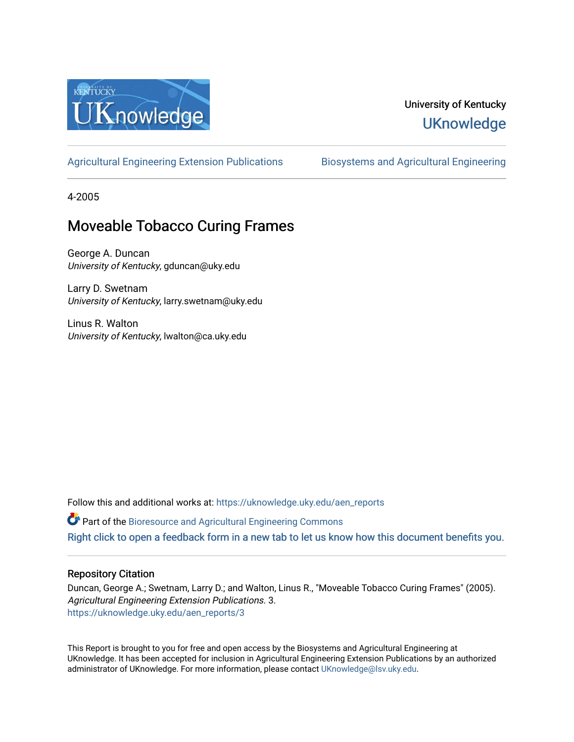

### University of Kentucky **UKnowledge**

[Agricultural Engineering Extension Publications](https://uknowledge.uky.edu/aen_reports) Biosystems and Agricultural Engineering

4-2005

## Moveable Tobacco Curing Frames

George A. Duncan University of Kentucky, gduncan@uky.edu

Larry D. Swetnam University of Kentucky, larry.swetnam@uky.edu

Linus R. Walton University of Kentucky, lwalton@ca.uky.edu

Follow this and additional works at: [https://uknowledge.uky.edu/aen\\_reports](https://uknowledge.uky.edu/aen_reports?utm_source=uknowledge.uky.edu%2Faen_reports%2F3&utm_medium=PDF&utm_campaign=PDFCoverPages)

Part of the [Bioresource and Agricultural Engineering Commons](http://network.bepress.com/hgg/discipline/1056?utm_source=uknowledge.uky.edu%2Faen_reports%2F3&utm_medium=PDF&utm_campaign=PDFCoverPages)

[Right click to open a feedback form in a new tab to let us know how this document benefits you.](https://uky.az1.qualtrics.com/jfe/form/SV_9mq8fx2GnONRfz7)

#### Repository Citation

Duncan, George A.; Swetnam, Larry D.; and Walton, Linus R., "Moveable Tobacco Curing Frames" (2005). Agricultural Engineering Extension Publications. 3. [https://uknowledge.uky.edu/aen\\_reports/3](https://uknowledge.uky.edu/aen_reports/3?utm_source=uknowledge.uky.edu%2Faen_reports%2F3&utm_medium=PDF&utm_campaign=PDFCoverPages)

This Report is brought to you for free and open access by the Biosystems and Agricultural Engineering at UKnowledge. It has been accepted for inclusion in Agricultural Engineering Extension Publications by an authorized administrator of UKnowledge. For more information, please contact [UKnowledge@lsv.uky.edu](mailto:UKnowledge@lsv.uky.edu).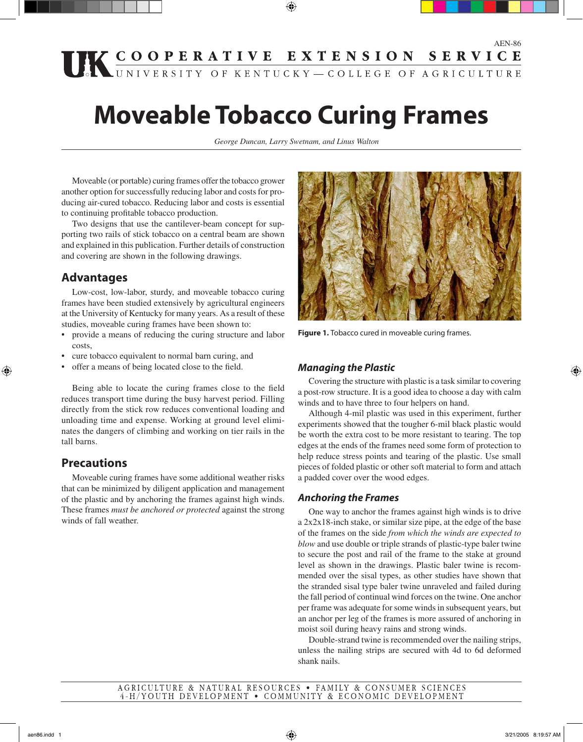# **THE COOPERATIVE EXTENSION SERVICE**

⊕

# **Moveable Tobacco Curing Frames**

*George Duncan, Larry Swetnam, and Linus Walton*

Moveable (or portable) curing frames offer the tobacco grower another option for successfully reducing labor and costs for producing air-cured tobacco. Reducing labor and costs is essential to continuing profitable tobacco production.

Two designs that use the cantilever-beam concept for supporting two rails of stick tobacco on a central beam are shown and explained in this publication. Further details of construction and covering are shown in the following drawings.

#### **Advantages**

Low-cost, low-labor, sturdy, and moveable tobacco curing frames have been studied extensively by agricultural engineers at the University of Kentucky for many years. As a result of these studies, moveable curing frames have been shown to:

- provide a means of reducing the curing structure and labor costs,
- cure tobacco equivalent to normal barn curing, and
- offer a means of being located close to the field.

Being able to locate the curing frames close to the field reduces transport time during the busy harvest period. Filling directly from the stick row reduces conventional loading and unloading time and expense. Working at ground level eliminates the dangers of climbing and working on tier rails in the tall barns.

#### **Precautions**

⊕

Moveable curing frames have some additional weather risks that can be minimized by diligent application and management of the plastic and by anchoring the frames against high winds. These frames *must be anchored or protected* against the strong winds of fall weather.



**Figure 1.** Tobacco cured in moveable curing frames.

#### **Managing the Plastic**

Covering the structure with plastic is a task similar to covering a post-row structure. It is a good idea to choose a day with calm winds and to have three to four helpers on hand.

Although 4-mil plastic was used in this experiment, further experiments showed that the tougher 6-mil black plastic would be worth the extra cost to be more resistant to tearing. The top edges at the ends of the frames need some form of protection to help reduce stress points and tearing of the plastic. Use small pieces of folded plastic or other soft material to form and attach a padded cover over the wood edges.

#### **Anchoring the Frames**

One way to anchor the frames against high winds is to drive a 2x2x18-inch stake, or similar size pipe, at the edge of the base of the frames on the side *from which the winds are expected to blow* and use double or triple strands of plastic-type baler twine to secure the post and rail of the frame to the stake at ground level as shown in the drawings. Plastic baler twine is recommended over the sisal types, as other studies have shown that the stranded sisal type baler twine unraveled and failed during the fall period of continual wind forces on the twine. One anchor per frame was adequate for some winds in subsequent years, but an anchor per leg of the frames is more assured of anchoring in moist soil during heavy rains and strong winds.

Double-strand twine is recommended over the nailing strips, unless the nailing strips are secured with 4d to 6d deformed shank nails.

#### AGRICULTURE & NATURAL RESOURCES . FAMILY & CONSUMER SCIENCES 4-H/YOUTH DEVELOPMENT . COMMUNITY & ECONOMIC DEVELOPMENT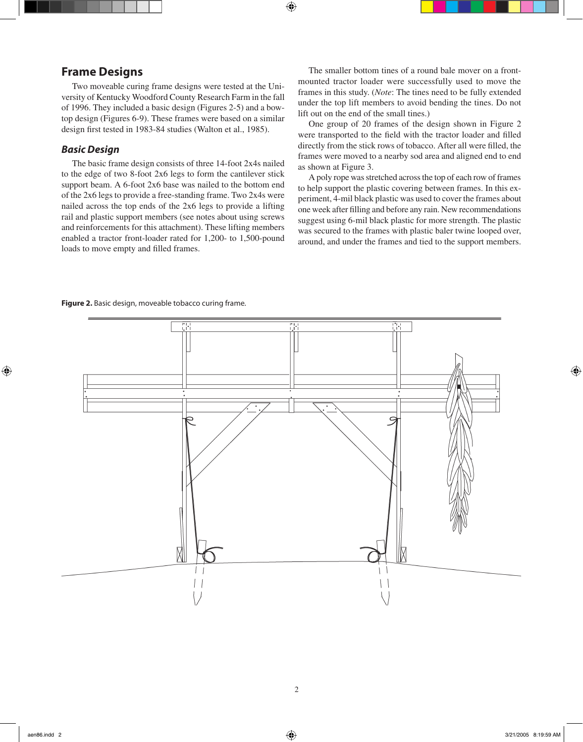#### **Frame Designs**

Two moveable curing frame designs were tested at the University of Kentucky Woodford County Research Farm in the fall of 1996. They included a basic design (Figures 2-5) and a bowtop design (Figures 6-9). These frames were based on a similar design first tested in 1983-84 studies (Walton et al., 1985).

#### **Basic Design**

The basic frame design consists of three 14-foot 2x4s nailed to the edge of two 8-foot 2x6 legs to form the cantilever stick support beam. A 6-foot 2x6 base was nailed to the bottom end of the 2x6 legs to provide a free-standing frame. Two 2x4s were nailed across the top ends of the 2x6 legs to provide a lifting rail and plastic support members (see notes about using screws and reinforcements for this attachment). These lifting members enabled a tractor front-loader rated for 1,200- to 1,500-pound loads to move empty and filled frames.

The smaller bottom tines of a round bale mover on a frontmounted tractor loader were successfully used to move the frames in this study. (*Note*: The tines need to be fully extended under the top lift members to avoid bending the tines. Do not lift out on the end of the small tines.)

One group of 20 frames of the design shown in Figure 2 were transported to the field with the tractor loader and filled directly from the stick rows of tobacco. After all were filled, the frames were moved to a nearby sod area and aligned end to end as shown at Figure 3.

A poly rope was stretched across the top of each row of frames to help support the plastic covering between frames. In this experiment, 4-mil black plastic was used to cover the frames about one week after filling and before any rain. New recommendations suggest using 6-mil black plastic for more strength. The plastic was secured to the frames with plastic baler twine looped over, around, and under the frames and tied to the support members.

**Figure 2.** Basic design, moveable tobacco curing frame.



⊕

 $\textcircled{\scriptsize{+}}$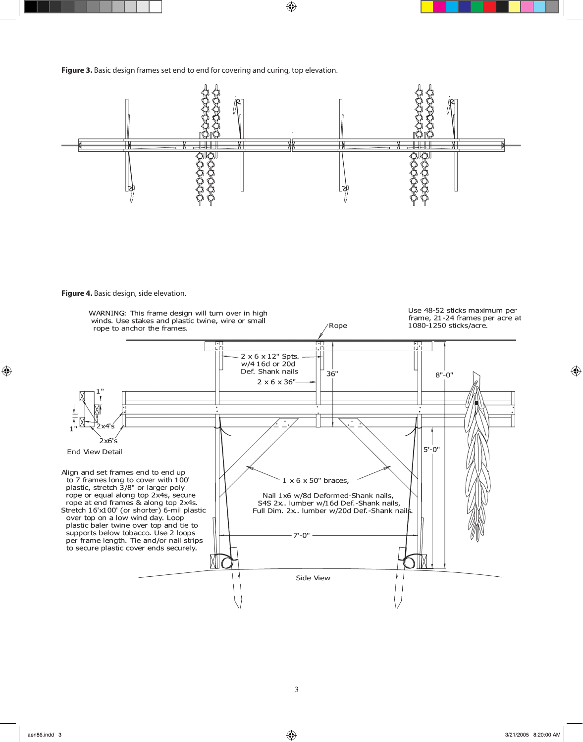



 $\bigoplus$ 

**Figure 4.** Basic design, side elevation.



 $\bigoplus$ 

 $\bigoplus$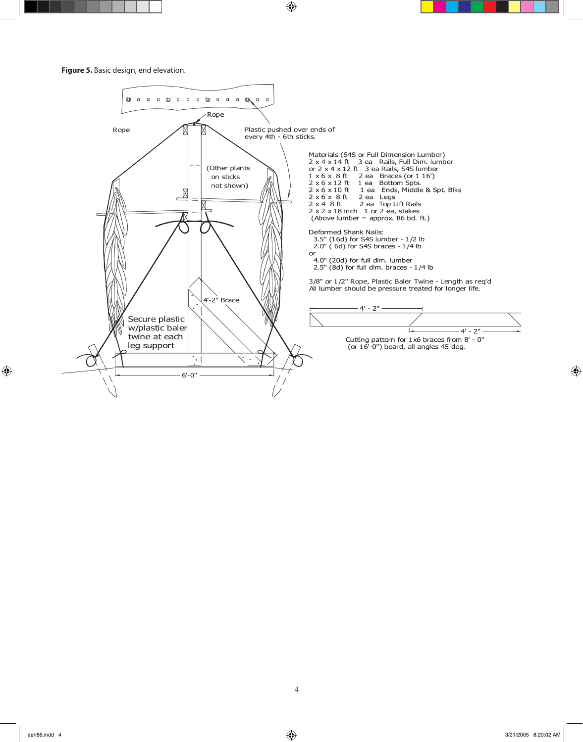$\bigoplus$ 

**Figure 5.** Basic design, end elevation.



 $\bigoplus$ 

 $\bigoplus$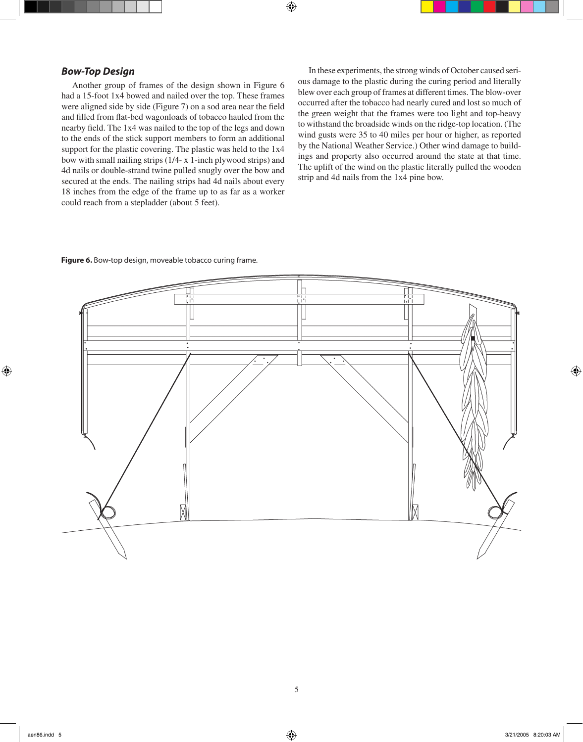#### **Bow-Top Design**

Another group of frames of the design shown in Figure 6 had a 15-foot 1x4 bowed and nailed over the top. These frames were aligned side by side (Figure 7) on a sod area near the field and filled from flat-bed wagonloads of tobacco hauled from the nearby field. The 1x4 was nailed to the top of the legs and down to the ends of the stick support members to form an additional support for the plastic covering. The plastic was held to the 1x4 bow with small nailing strips (1/4- x 1-inch plywood strips) and 4d nails or double-strand twine pulled snugly over the bow and secured at the ends. The nailing strips had 4d nails about every 18 inches from the edge of the frame up to as far as a worker could reach from a stepladder (about 5 feet).

In these experiments, the strong winds of October caused serious damage to the plastic during the curing period and literally blew over each group of frames at different times. The blow-over occurred after the tobacco had nearly cured and lost so much of the green weight that the frames were too light and top-heavy to withstand the broadside winds on the ridge-top location. (The wind gusts were 35 to 40 miles per hour or higher, as reported by the National Weather Service.) Other wind damage to buildings and property also occurred around the state at that time. The uplift of the wind on the plastic literally pulled the wooden strip and 4d nails from the 1x4 pine bow.

#### **Figure 6.** Bow-top design, moveable tobacco curing frame.



 $\bigoplus$ 

 $\bigoplus$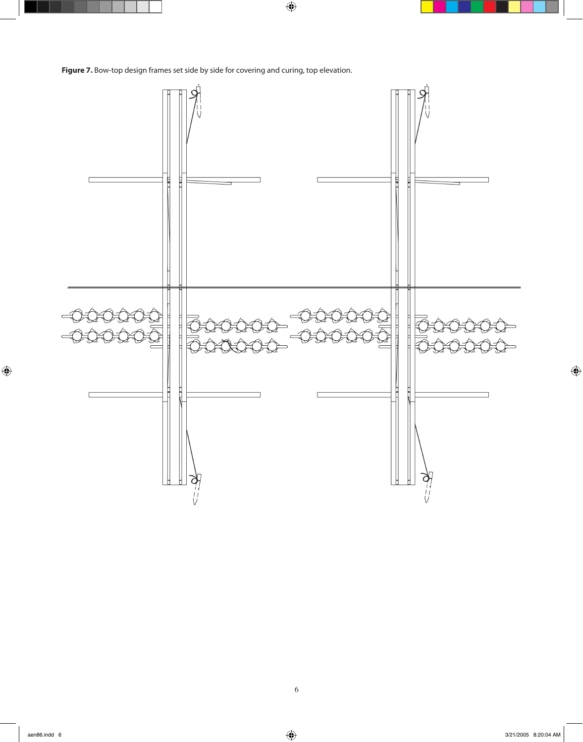**Figure 7.** Bow-top design frames set side by side for covering and curing, top elevation.



 $\bigoplus$ 

 $\bigoplus$ 

 $\bigoplus$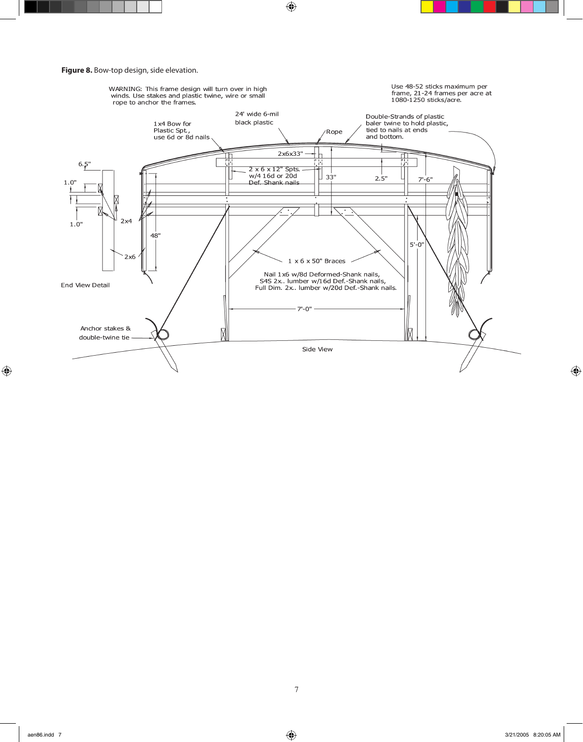



 $\bigoplus$ 

 $\bigoplus$ 

 $\bigoplus$